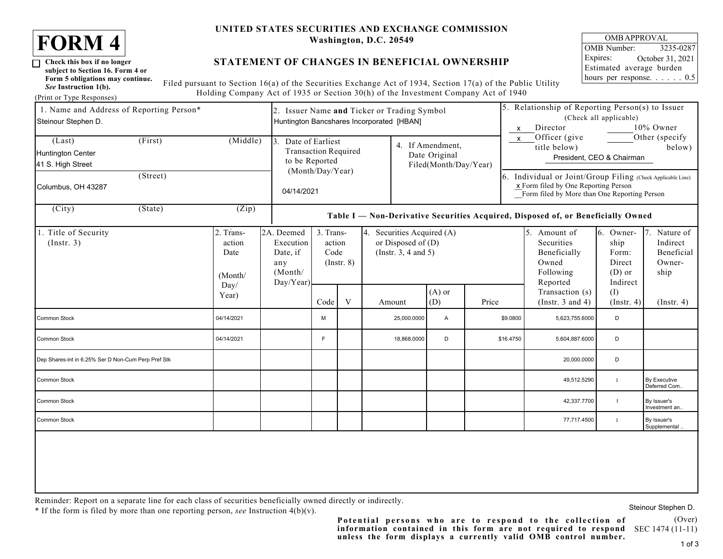

 $\Box$ 

*See* **Instruction 1(b).** (Print or Type Responses)

**subject to Section 16. Form 4 or**

### **UNITED STATES SECURITIES AND EXCHANGE COMMISSION Washington, D.C. 20549**

# **STATEMENT OF CHANGES IN BENEFICIAL OWNERSHIP**

Filed pursuant to Section 16(a) of the Securities Exchange Act of 1934, Section 17(a) of the Public Utility Holding Company Act of 1935 or Section 30(h) of the Investment Company Act of 1940 **Form 5 obligations may continue.**

| 1. Name and Address of Reporting Person*<br>Steinour Stephen D. |                           | 2. Issuer Name and Ticker or Trading Symbol<br>Huntington Bancshares Incorporated [HBAN] |                                                                                  |                                                |  |                                                                                   |                  |                                                                                                                                                     | 5. Relationship of Reporting Person(s) to Issuer<br>(Check all applicable)<br>10% Owner<br>Director<br>$\boldsymbol{\mathsf{x}}$ |                                          |                                                                                 |                                                              |                                                       |
|-----------------------------------------------------------------|---------------------------|------------------------------------------------------------------------------------------|----------------------------------------------------------------------------------|------------------------------------------------|--|-----------------------------------------------------------------------------------|------------------|-----------------------------------------------------------------------------------------------------------------------------------------------------|----------------------------------------------------------------------------------------------------------------------------------|------------------------------------------|---------------------------------------------------------------------------------|--------------------------------------------------------------|-------------------------------------------------------|
| (Last)<br>Huntington Center<br>41 S. High Street                | (Middle)<br>$\mathcal{E}$ | Date of Earliest<br><b>Transaction Required</b><br>to be Reported                        |                                                                                  |                                                |  | 4. If Amendment,<br>Date Original<br>Filed(Month/Day/Year)                        |                  |                                                                                                                                                     | Officer (give<br>Other (specify<br>$\mathsf{x}$<br>title below)<br>below)<br>President, CEO & Chairman                           |                                          |                                                                                 |                                                              |                                                       |
| Columbus, OH 43287                                              | 04/14/2021                | (Month/Day/Year)                                                                         |                                                                                  |                                                |  |                                                                                   |                  | 6. Individual or Joint/Group Filing (Check Applicable Line)<br>x Form filed by One Reporting Person<br>Form filed by More than One Reporting Person |                                                                                                                                  |                                          |                                                                                 |                                                              |                                                       |
| $\overline{(City)}$                                             | (State)                   |                                                                                          | Table I - Non-Derivative Securities Acquired, Disposed of, or Beneficially Owned |                                                |  |                                                                                   |                  |                                                                                                                                                     |                                                                                                                                  |                                          |                                                                                 |                                                              |                                                       |
| 1. Title of Security<br>$($ Instr. 3 $)$                        |                           | 2. Trans-<br>action<br>Date<br>(Month/<br>Day/                                           | 2A. Deemed<br>Execution<br>Date, if<br>any<br>(Month/<br>Day/Year)               | 3. Trans-<br>action<br>Code<br>$($ Instr. $8)$ |  | Securities Acquired (A)<br>4.<br>or Disposed of $(D)$<br>(Instr. $3, 4$ and $5$ ) |                  |                                                                                                                                                     |                                                                                                                                  |                                          | 5.<br>Amount of<br>Securities<br>Beneficially<br>Owned<br>Following<br>Reported | 6. Owner-<br>ship<br>Form:<br>Direct<br>$(D)$ or<br>Indirect | Nature of<br>Indirect<br>Beneficial<br>Owner-<br>ship |
|                                                                 | Year)                     | Code                                                                                     |                                                                                  | V                                              |  | Amount                                                                            | $(A)$ or<br>(D)  | Price                                                                                                                                               |                                                                                                                                  | Transaction (s)<br>(Instr. $3$ and $4$ ) | (I)<br>(Insert, 4)                                                              | (Insert. 4)                                                  |                                                       |
| Common Stock                                                    |                           | 04/14/2021                                                                               |                                                                                  | M                                              |  |                                                                                   | 25,000.0000      | Α                                                                                                                                                   | \$9.0800                                                                                                                         |                                          | 5,623,755.6000                                                                  | D                                                            |                                                       |
| Common Stock                                                    |                           | 04/14/2021                                                                               |                                                                                  | F                                              |  |                                                                                   | 18,868.0000<br>D |                                                                                                                                                     |                                                                                                                                  | \$16.4750<br>5,604,887.6000              |                                                                                 | D                                                            |                                                       |
| Dep Shares-int in 6.25% Ser D Non-Cum Perp Pref Stk             |                           |                                                                                          |                                                                                  |                                                |  |                                                                                   |                  |                                                                                                                                                     |                                                                                                                                  |                                          | 20,000.0000                                                                     | D                                                            |                                                       |
| Common Stock                                                    |                           |                                                                                          |                                                                                  |                                                |  |                                                                                   |                  |                                                                                                                                                     |                                                                                                                                  |                                          | 49,512.5290                                                                     |                                                              | By Executive<br>Deferred Com                          |
| Common Stock                                                    |                           |                                                                                          |                                                                                  |                                                |  |                                                                                   |                  |                                                                                                                                                     |                                                                                                                                  |                                          | 42,337.7700                                                                     | $\mathbf{I}$                                                 | By Issuer's<br>Investment an                          |
| Common Stock                                                    |                           |                                                                                          |                                                                                  |                                                |  |                                                                                   |                  |                                                                                                                                                     |                                                                                                                                  |                                          | 77,717.4500                                                                     | $\mathbf{I}$                                                 | By Issuer's<br>Supplemental.                          |
|                                                                 |                           |                                                                                          |                                                                                  |                                                |  |                                                                                   |                  |                                                                                                                                                     |                                                                                                                                  |                                          |                                                                                 |                                                              |                                                       |

Reminder: Report on a separate line for each class of securities beneficially owned directly or indirectly.

\* If the form is filed by more than one reporting person, *see* Instruction 4(b)(v).

information contained in this form are not required to respond SEC 1474 (11-11) **Potential persons who are to respond to the collection of unless the form displays a currently valid OMB control number.**

(Over)

Steinour Stephen D.

OMB Number: 3235-0287 Expires: Estimated average burden hours per response. . . . . . 0.5 OMB APPROVAL October 31, 2021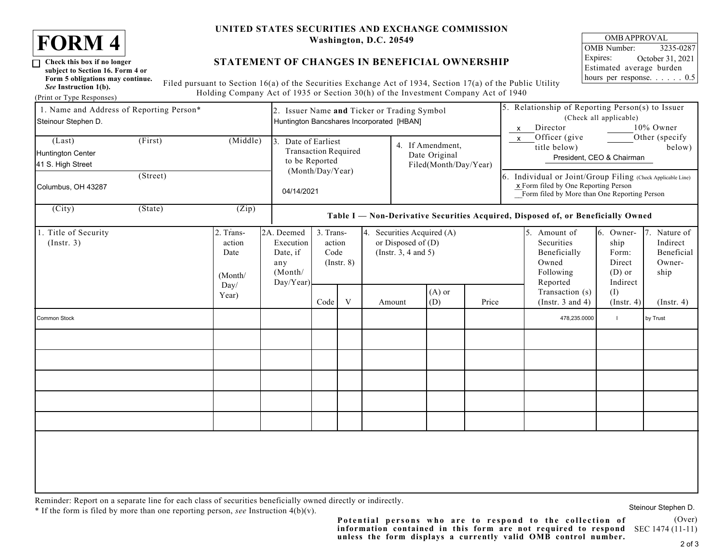

 $\Box$ 

*See* **Instruction 1(b).** (Print or Type Responses)

**subject to Section 16. Form 4 or**

### **UNITED STATES SECURITIES AND EXCHANGE COMMISSION Washington, D.C. 20549**

# **STATEMENT OF CHANGES IN BENEFICIAL OWNERSHIP**

Filed pursuant to Section 16(a) of the Securities Exchange Act of 1934, Section 17(a) of the Public Utility Holding Company Act of 1935 or Section 30(h) of the Investment Company Act of 1940 **Form 5 obligations may continue.**

| 1. Name and Address of Reporting Person*<br>Steinour Stephen D.                                           |                                                | 2. Issuer Name and Ticker or Trading Symbol<br>Huntington Bancshares Incorporated [HBAN] |                                                |                                                                                  |                                                                           |  |                                                            |                 | 5. Relationship of Reporting Person(s) to Issuer<br>(Check all applicable)<br>10% Owner<br>Director<br>$\boldsymbol{\mathsf{x}}$ |                                                                                                        |                                                                                                                                                     |                         |                  |
|-----------------------------------------------------------------------------------------------------------|------------------------------------------------|------------------------------------------------------------------------------------------|------------------------------------------------|----------------------------------------------------------------------------------|---------------------------------------------------------------------------|--|------------------------------------------------------------|-----------------|----------------------------------------------------------------------------------------------------------------------------------|--------------------------------------------------------------------------------------------------------|-----------------------------------------------------------------------------------------------------------------------------------------------------|-------------------------|------------------|
| (Middle)<br>(First)<br>(Last)<br>Huntington Center<br>41 S. High Street<br>(Street)<br>Columbus, OH 43287 |                                                |                                                                                          |                                                | 3. Date of Earliest<br><b>Transaction Required</b><br>to be Reported             |                                                                           |  | 4. If Amendment,<br>Date Original<br>Filed(Month/Day/Year) |                 |                                                                                                                                  | Officer (give<br>Other (specify<br>$\pmb{\chi}$<br>title below)<br>below)<br>President, CEO & Chairman |                                                                                                                                                     |                         |                  |
|                                                                                                           |                                                |                                                                                          |                                                | (Month/Day/Year)<br>04/14/2021                                                   |                                                                           |  |                                                            |                 |                                                                                                                                  |                                                                                                        | 6. Individual or Joint/Group Filing (Check Applicable Line)<br>x Form filed by One Reporting Person<br>Form filed by More than One Reporting Person |                         |                  |
| $\overline{(City)}$                                                                                       | (State)                                        | $\overline{(Zip)}$                                                                       |                                                | Table I - Non-Derivative Securities Acquired, Disposed of, or Beneficially Owned |                                                                           |  |                                                            |                 |                                                                                                                                  |                                                                                                        |                                                                                                                                                     |                         |                  |
| Title of Security<br>(Instr. 3)                                                                           | 2. Trans-<br>action<br>Date<br>(Month/<br>Day/ | 2A. Deemed<br>Execution<br>Date, if<br>any<br>(Month/<br>Day/Year)                       | 3. Trans-<br>action<br>Code<br>$($ Instr. $8)$ |                                                                                  | 4. Securities Acquired (A)<br>or Disposed of $(D)$<br>(Instr. 3, 4 and 5) |  |                                                            |                 | 5. Amount of<br>Securities<br>Beneficially<br>Owned<br>Following<br>Reported                                                     | 6. Owner-<br>ship<br>Form:<br>Direct<br>$(D)$ or<br>Indirect                                           | 7. Nature of<br>Indirect<br>Beneficial<br>Owner-<br>ship                                                                                            |                         |                  |
|                                                                                                           |                                                | Year)                                                                                    |                                                | Code                                                                             | $\ensuremath{\text{V}}$                                                   |  | Amount                                                     | $(A)$ or<br>(D) | Price                                                                                                                            |                                                                                                        | Transaction (s)<br>(Instr. $3$ and $4$ )                                                                                                            | (I)<br>$($ Instr. 4 $)$ | $($ Instr. 4 $)$ |
| Common Stock                                                                                              |                                                |                                                                                          |                                                |                                                                                  |                                                                           |  |                                                            |                 |                                                                                                                                  |                                                                                                        | 478,235.0000                                                                                                                                        | $\overline{1}$          | by Trust         |
|                                                                                                           |                                                |                                                                                          |                                                |                                                                                  |                                                                           |  |                                                            |                 |                                                                                                                                  |                                                                                                        |                                                                                                                                                     |                         |                  |
|                                                                                                           |                                                |                                                                                          |                                                |                                                                                  |                                                                           |  |                                                            |                 |                                                                                                                                  |                                                                                                        |                                                                                                                                                     |                         |                  |
|                                                                                                           |                                                |                                                                                          |                                                |                                                                                  |                                                                           |  |                                                            |                 |                                                                                                                                  |                                                                                                        |                                                                                                                                                     |                         |                  |
|                                                                                                           |                                                |                                                                                          |                                                |                                                                                  |                                                                           |  |                                                            |                 |                                                                                                                                  |                                                                                                        |                                                                                                                                                     |                         |                  |
|                                                                                                           |                                                |                                                                                          |                                                |                                                                                  |                                                                           |  |                                                            |                 |                                                                                                                                  |                                                                                                        |                                                                                                                                                     |                         |                  |

Reminder: Report on a separate line for each class of securities beneficially owned directly or indirectly.

\* If the form is filed by more than one reporting person, *see* Instruction 4(b)(v).

Steinour Stephen D.

(Over) information contained in this form are not required to respond SEC 1474 (11-11) **Potential persons who are to respond to the collection of unless the form displays a currently valid OMB control number.**

OMB Number: 3235-0287 Expires: Estimated average burden hours per response. . . . . . 0.5 OMB APPROVAL October 31, 2021